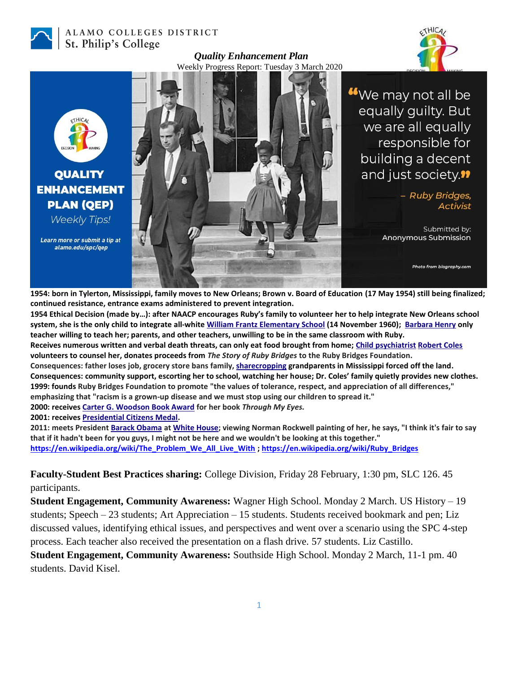

## ALAMO COLLEGES DISTRICT St. Philip's College



We may not all be equally guilty. But :THICA we are all equally responsible for building a decent and just society.<sup>11</sup> **QUALITY ENHANCEMENT** - Ruby Bridges, **PLAN (QEP)** Activist **Weekly Tips!** Submitted by: **Anonymous Submission** Learn more or submit a tip at alamo.edu/spc/qep Photo from biography.com

*Quality Enhancement Plan* Weekly Progress Report: Tuesday 3 March 2020

**1954: born in Tylerton, Mississippi, family moves to New Orleans; Brown v. Board of Education (17 May 1954) still being finalized; continued resistance, entrance exams administered to prevent integration.** 

**1954 Ethical Decision (made by…): after NAACP encourages Ruby's family to volunteer her to help integrate New Orleans school system, she is the only child to integrate all-whit[e William Frantz Elementary School](https://en.wikipedia.org/wiki/William_Frantz_Elementary_School) (14 November 1960); [Barbara Henry](https://en.wikipedia.org/wiki/Barbara_Henry) only teacher willing to teach her; parents, and other teachers, unwilling to be in the same classroom with Ruby.**

**Receives numerous written and verbal death threats, can only eat food brought from home[; Child psychiatrist](https://en.wikipedia.org/wiki/Child_psychiatry) [Robert Coles](https://en.wikipedia.org/wiki/Robert_Coles_(psychiatrist)) volunteers to counsel her, donates proceeds from** *The Story of Ruby Bridges* **to the Ruby Bridges Foundation.** 

**Consequences: father loses job, grocery store bans family, [sharecropping](https://en.wikipedia.org/wiki/Sharecropping) grandparents in Mississippi forced off the land. Consequences: community support, escorting her to school, watching her house; Dr. Coles' family quietly provides new clothes. 1999: founds Ruby Bridges Foundation to promote "the values of tolerance, respect, and appreciation of all differences," emphasizing that "racism is a grown-up disease and we must stop using our children to spread it."**

**2000: receive[s Carter G. Woodson Book Award](https://en.wikipedia.org/wiki/National_Council_for_the_Social_Studies#Awards) for her book** *Through My Eyes.*

**2001: receive[s Presidential Citizens Medal.](https://en.wikipedia.org/wiki/Presidential_Citizens_Medal)**

**2011: meets President [Barack Obama](https://en.wikipedia.org/wiki/Barack_Obama) a[t White House;](https://en.wikipedia.org/wiki/White_House) viewing Norman Rockwell painting of her, he says, "I think it's fair to say that if it hadn't been for you guys, I might not be here and we wouldn't be looking at this together." [https://en.wikipedia.org/wiki/The\\_Problem\\_We\\_All\\_Live\\_With](https://en.wikipedia.org/wiki/The_Problem_We_All_Live_With) [; https://en.wikipedia.org/wiki/Ruby\\_Bridges](https://en.wikipedia.org/wiki/Ruby_Bridges)**

**Faculty-Student Best Practices sharing:** College Division, Friday 28 February, 1:30 pm, SLC 126. 45 participants.

**Student Engagement, Community Awareness:** Wagner High School. Monday 2 March. US History – 19 students; Speech – 23 students; Art Appreciation – 15 students. Students received bookmark and pen; Liz discussed values, identifying ethical issues, and perspectives and went over a scenario using the SPC 4-step process. Each teacher also received the presentation on a flash drive. 57 students. Liz Castillo.

**Student Engagement, Community Awareness:** Southside High School. Monday 2 March, 11-1 pm. 40 students. David Kisel.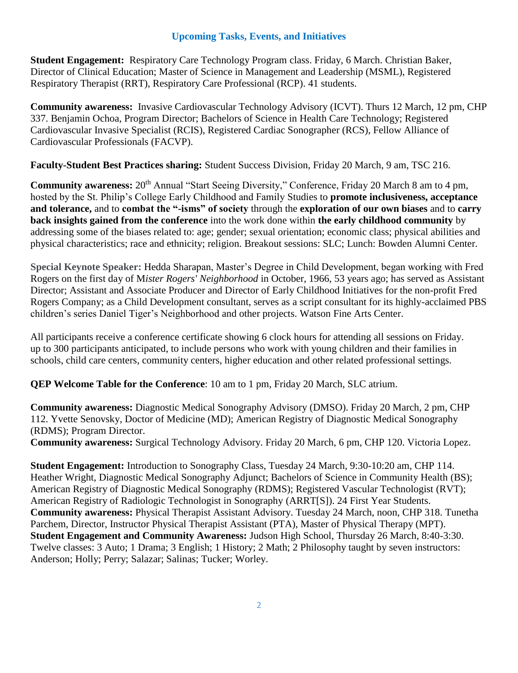## **Upcoming Tasks, Events, and Initiatives**

**Student Engagement:** Respiratory Care Technology Program class. Friday, 6 March. Christian Baker, Director of Clinical Education; Master of Science in Management and Leadership (MSML), Registered Respiratory Therapist (RRT), Respiratory Care Professional (RCP). 41 students.

**Community awareness:** Invasive Cardiovascular Technology Advisory (ICVT). Thurs 12 March, 12 pm, CHP 337. Benjamin Ochoa, Program Director; Bachelors of Science in Health Care Technology; Registered Cardiovascular Invasive Specialist (RCIS), Registered Cardiac Sonographer (RCS), Fellow Alliance of Cardiovascular Professionals (FACVP).

**Faculty-Student Best Practices sharing:** Student Success Division, Friday 20 March, 9 am, TSC 216.

**Community awareness:**  $20<sup>th</sup>$  Annual "Start Seeing Diversity," Conference, Friday 20 March 8 am to 4 pm, hosted by the St. Philip's College Early Childhood and Family Studies to **promote inclusiveness, acceptance and tolerance,** and to **combat the "-isms" of society** through the **exploration of our own biases** and to **carry back insights gained from the conference** into the work done within **the early childhood community** by addressing some of the biases related to: age; gender; sexual orientation; economic class; physical abilities and physical characteristics; race and ethnicity; religion. Breakout sessions: SLC; Lunch: Bowden Alumni Center.

**Special Keynote Speaker:** Hedda Sharapan, Master's Degree in Child Development, began working with Fred Rogers on the first day of M*ister Rogers' Neighborhood* in October, 1966, 53 years ago; has served as Assistant Director; Assistant and Associate Producer and Director of Early Childhood Initiatives for the non-profit Fred Rogers Company; as a Child Development consultant, serves as a script consultant for its highly-acclaimed PBS children's series Daniel Tiger's Neighborhood and other projects. Watson Fine Arts Center.

All participants receive a conference certificate showing 6 clock hours for attending all sessions on Friday. up to 300 participants anticipated, to include persons who work with young children and their families in schools, child care centers, community centers, higher education and other related professional settings.

**QEP Welcome Table for the Conference**: 10 am to 1 pm, Friday 20 March, SLC atrium.

**Community awareness:** Diagnostic Medical Sonography Advisory (DMSO). Friday 20 March, 2 pm, CHP 112. Yvette Senovsky, Doctor of Medicine (MD); American Registry of Diagnostic Medical Sonography (RDMS); Program Director.

**Community awareness:** Surgical Technology Advisory. Friday 20 March, 6 pm, CHP 120. Victoria Lopez.

**Student Engagement:** Introduction to Sonography Class, Tuesday 24 March, 9:30-10:20 am, CHP 114. Heather Wright, Diagnostic Medical Sonography Adjunct; Bachelors of Science in Community Health (BS); American Registry of Diagnostic Medical Sonography (RDMS); Registered Vascular Technologist (RVT); American Registry of Radiologic Technologist in Sonography (ARRT[S]). 24 First Year Students. **Community awareness:** Physical Therapist Assistant Advisory. Tuesday 24 March, noon, CHP 318. Tunetha Parchem, Director, Instructor Physical Therapist Assistant (PTA), Master of Physical Therapy (MPT). **Student Engagement and Community Awareness:** Judson High School, Thursday 26 March, 8:40-3:30. Twelve classes: 3 Auto; 1 Drama; 3 English; 1 History; 2 Math; 2 Philosophy taught by seven instructors: Anderson; Holly; Perry; Salazar; Salinas; Tucker; Worley.